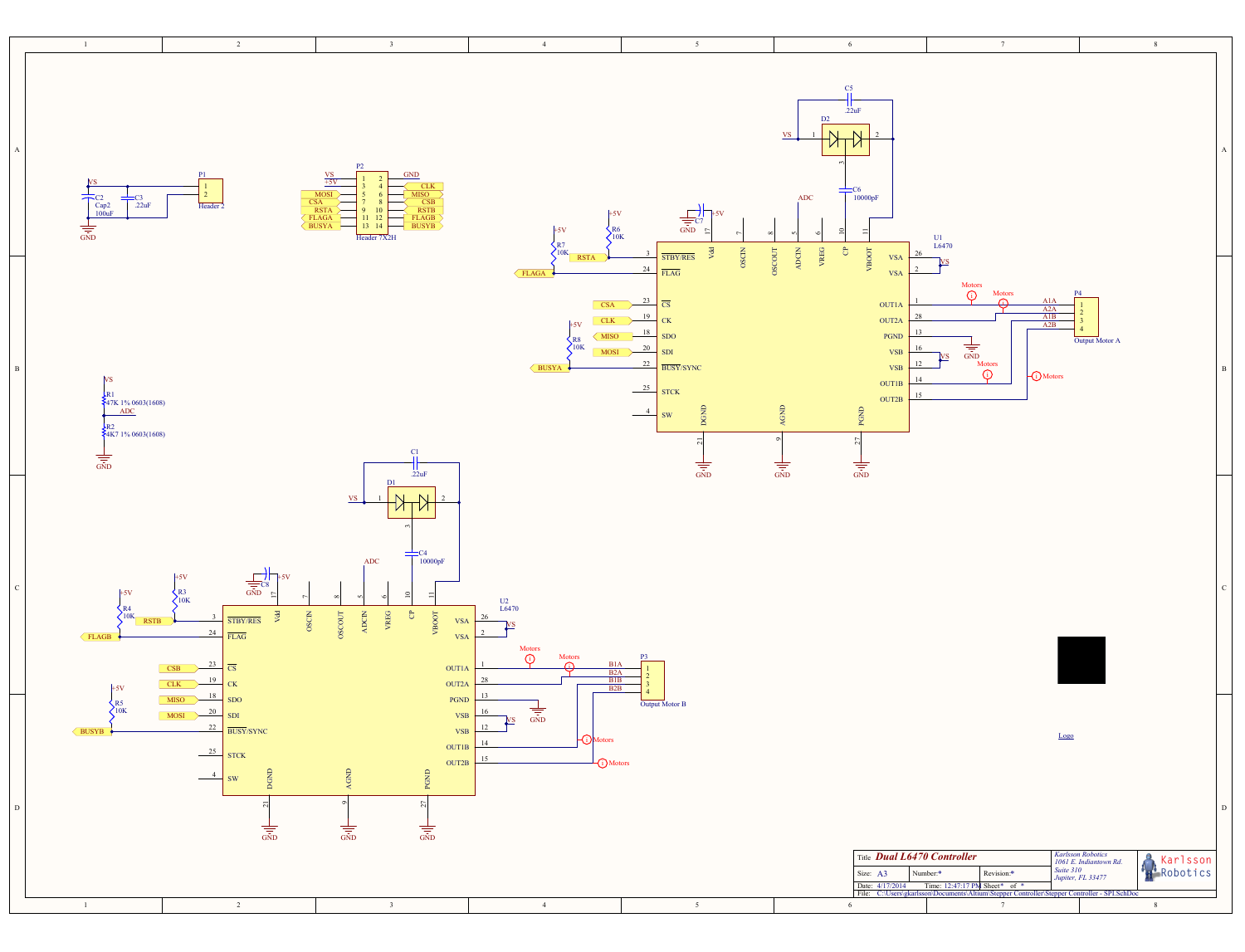